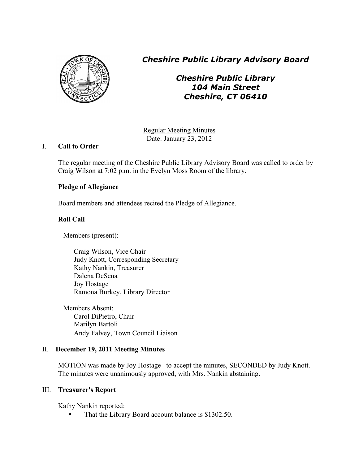

*Cheshire Public Library Advisory Board*

*Cheshire Public Library 104 Main Street Cheshire, CT 06410*

Regular Meeting Minutes Date: January 23, 2012

# I. **Call to Order**

The regular meeting of the Cheshire Public Library Advisory Board was called to order by Craig Wilson at 7:02 p.m. in the Evelyn Moss Room of the library.

# **Pledge of Allegiance**

Board members and attendees recited the Pledge of Allegiance.

# **Roll Call**

Members (present):

Craig Wilson, Vice Chair Judy Knott, Corresponding Secretary Kathy Nankin, Treasurer Dalena DeSena Joy Hostage Ramona Burkey, Library Director

Members Absent: Carol DiPietro, Chair Marilyn Bartoli Andy Falvey, Town Council Liaison

# II. **December 19, 2011** M**eeting Minutes**

MOTION was made by Joy Hostage to accept the minutes, SECONDED by Judy Knott. The minutes were unanimously approved, with Mrs. Nankin abstaining.

# III. **Treasurer's Report**

Kathy Nankin reported:

That the Library Board account balance is \$1302.50.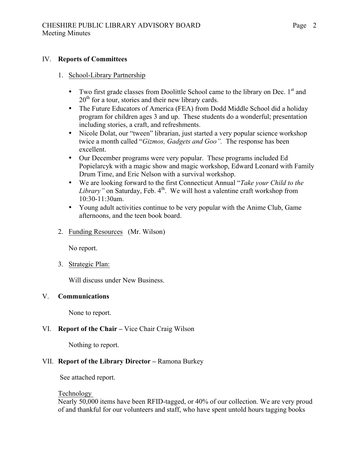### IV. **Reports of Committees**

### 1. School-Library Partnership

- Two first grade classes from Doolittle School came to the library on Dec. 1<sup>st</sup> and  $20<sup>th</sup>$  for a tour, stories and their new library cards.
- The Future Educators of America (FEA) from Dodd Middle School did a holiday program for children ages 3 and up. These students do a wonderful; presentation including stories, a craft, and refreshments.
- Nicole Dolat, our "tween" librarian, just started a very popular science workshop twice a month called "*Gizmos, Gadgets and Goo".* The response has been excellent.
- Our December programs were very popular. These programs included Ed Popielarcyk with a magic show and magic workshop, Edward Leonard with Family Drum Time, and Eric Nelson with a survival workshop.
- We are looking forward to the first Connecticut Annual "*Take your Child to the Library*" on Saturday, Feb. 4<sup>th</sup>. We will host a valentine craft workshop from 10:30-11:30am.
- Young adult activities continue to be very popular with the Anime Club, Game afternoons, and the teen book board.
- 2. Funding Resources (Mr. Wilson)

No report.

3. Strategic Plan:

Will discuss under New Business.

# V. **Communications**

None to report.

# VI. **Report of the Chair –** Vice Chair Craig Wilson

Nothing to report.

# VII. **Report of the Library Director –** Ramona Burkey

See attached report.

# Technology

Nearly 50,000 items have been RFID-tagged, or 40% of our collection. We are very proud of and thankful for our volunteers and staff, who have spent untold hours tagging books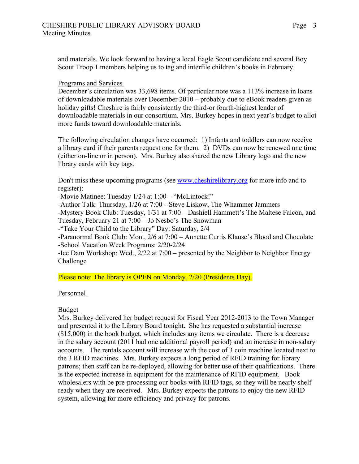and materials. We look forward to having a local Eagle Scout candidate and several Boy Scout Troop 1 members helping us to tag and interfile children's books in February.

### Programs and Services

December's circulation was 33,698 items. Of particular note was a 113% increase in loans of downloadable materials over December 2010 – probably due to eBook readers given as holiday gifts! Cheshire is fairly consistently the third-or fourth-highest lender of downloadable materials in our consortium. Mrs. Burkey hopes in next year's budget to allot more funds toward downloadable materials.

The following circulation changes have occurred: 1) Infants and toddlers can now receive a library card if their parents request one for them. 2) DVDs can now be renewed one time (either on-line or in person). Mrs. Burkey also shared the new Library logo and the new library cards with key tags.

Don't miss these upcoming programs (see www.cheshirelibrary.org for more info and to register):

-Movie Matinee: Tuesday 1/24 at 1:00 – "McLintock!"

-Author Talk: Thursday, 1/26 at 7:00 --Steve Liskow, The Whammer Jammers

-Mystery Book Club: Tuesday, 1/31 at 7:00 – Dashiell Hammett's The Maltese Falcon, and Tuesday, February 21 at 7:00 – Jo Nesbo's The Snowman

-"Take Your Child to the Library" Day: Saturday, 2/4

-Paranormal Book Club: Mon., 2/6 at 7:00 – Annette Curtis Klause's Blood and Chocolate -School Vacation Week Programs: 2/20-2/24

-Ice Dam Workshop: Wed., 2/22 at 7:00 – presented by the Neighbor to Neighbor Energy Challenge

Please note: The library is OPEN on Monday, 2/20 (Presidents Day).

### Personnel

# Budget

Mrs. Burkey delivered her budget request for Fiscal Year 2012-2013 to the Town Manager and presented it to the Library Board tonight. She has requested a substantial increase (\$15,000) in the book budget, which includes any items we circulate. There is a decrease in the salary account (2011 had one additional payroll period) and an increase in non-salary accounts. The rentals account will increase with the cost of 3 coin machine located next to the 3 RFID machines. Mrs. Burkey expects a long period of RFID training for library patrons; then staff can be re-deployed, allowing for better use of their qualifications. There is the expected increase in equipment for the maintenance of RFID equipment. Book wholesalers with be pre-processing our books with RFID tags, so they will be nearly shelf ready when they are received. Mrs. Burkey expects the patrons to enjoy the new RFID system, allowing for more efficiency and privacy for patrons.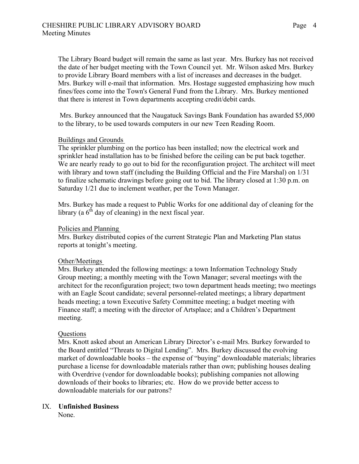The Library Board budget will remain the same as last year. Mrs. Burkey has not received the date of her budget meeting with the Town Council yet. Mr. Wilson asked Mrs. Burkey to provide Library Board members with a list of increases and decreases in the budget. Mrs. Burkey will e-mail that information. Mrs. Hostage suggested emphasizing how much fines/fees come into the Town's General Fund from the Library. Mrs. Burkey mentioned that there is interest in Town departments accepting credit/debit cards.

Mrs. Burkey announced that the Naugatuck Savings Bank Foundation has awarded \$5,000 to the library, to be used towards computers in our new Teen Reading Room.

#### Buildings and Grounds

The sprinkler plumbing on the portico has been installed; now the electrical work and sprinkler head installation has to be finished before the ceiling can be put back together. We are nearly ready to go out to bid for the reconfiguration project. The architect will meet with library and town staff (including the Building Official and the Fire Marshal) on 1/31 to finalize schematic drawings before going out to bid. The library closed at 1:30 p.m. on Saturday 1/21 due to inclement weather, per the Town Manager.

Mrs. Burkey has made a request to Public Works for one additional day of cleaning for the library (a  $6<sup>th</sup>$  day of cleaning) in the next fiscal year.

#### Policies and Planning

Mrs. Burkey distributed copies of the current Strategic Plan and Marketing Plan status reports at tonight's meeting.

### Other/Meetings

Mrs. Burkey attended the following meetings: a town Information Technology Study Group meeting; a monthly meeting with the Town Manager; several meetings with the architect for the reconfiguration project; two town department heads meeting; two meetings with an Eagle Scout candidate; several personnel-related meetings; a library department heads meeting; a town Executive Safety Committee meeting; a budget meeting with Finance staff; a meeting with the director of Artsplace; and a Children's Department meeting.

#### Questions

Mrs. Knott asked about an American Library Director's e-mail Mrs. Burkey forwarded to the Board entitled "Threats to Digital Lending". Mrs. Burkey discussed the evolving market of downloadable books – the expense of "buying" downloadable materials; libraries purchase a license for downloadable materials rather than own; publishing houses dealing with Overdrive (vendor for downloadable books); publishing companies not allowing downloads of their books to libraries; etc. How do we provide better access to downloadable materials for our patrons?

### IX. **Unfinished Business**

None.